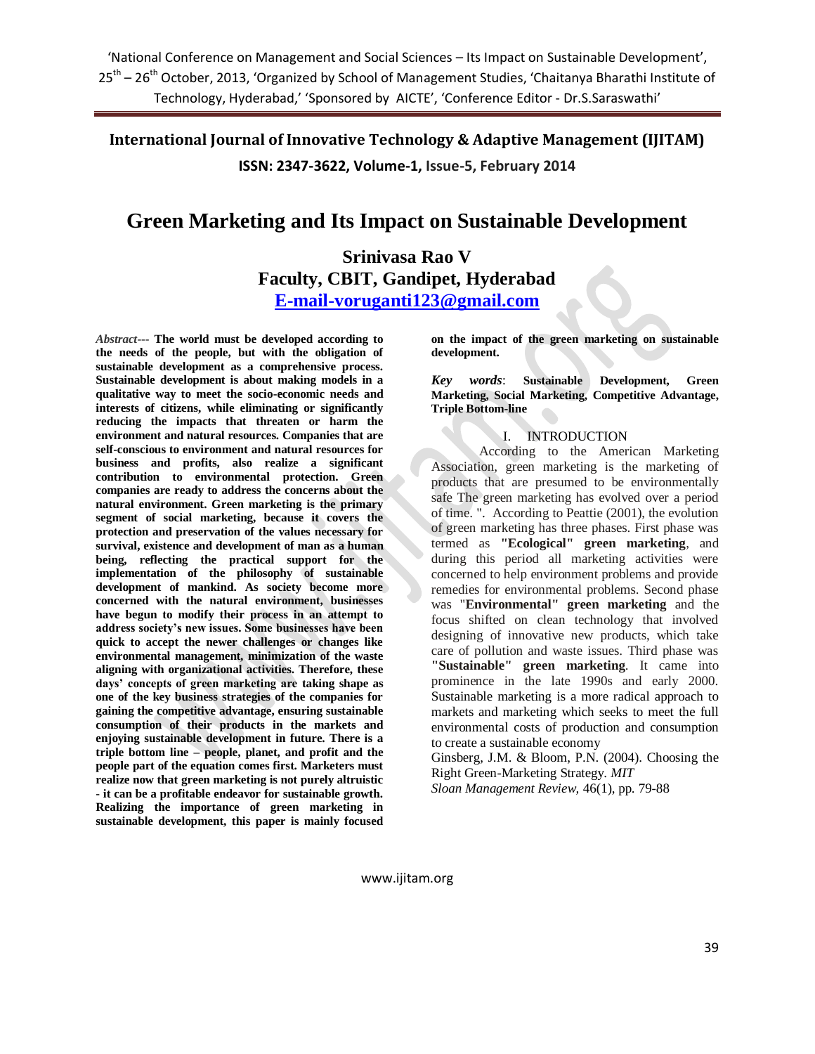# **Green Marketing and Its Impact on Sustainable Development**

# **Srinivasa Rao V Faculty, CBIT, Gandipet, Hyderabad [E-mail-voruganti123@gmail.com](mailto:E-mail-voruganti123@gmail.com)**

*Abstract***--- The world must be developed according to the needs of the people, but with the obligation of sustainable development as a comprehensive process. Sustainable development is about making models in a qualitative way to meet the socio-economic needs and interests of citizens, while eliminating or significantly reducing the impacts that threaten or harm the environment and natural resources. Companies that are self-conscious to environment and natural resources for business and profits, also realize a significant contribution to environmental protection. Green companies are ready to address the concerns about the natural environment. Green marketing is the primary segment of social marketing, because it covers the protection and preservation of the values necessary for survival, existence and development of man as a human being, reflecting the practical support for the implementation of the philosophy of sustainable development of mankind. As society become more concerned with the natural environment, businesses have begun to modify their process in an attempt to address society's new issues. Some businesses have been quick to accept the newer challenges or changes like environmental management, minimization of the waste aligning with organizational activities. Therefore, these days' concepts of green marketing are taking shape as one of the key business strategies of the companies for gaining the competitive advantage, ensuring sustainable consumption of their products in the markets and enjoying sustainable development in future. There is a triple bottom line – people, planet, and profit and the people part of the equation comes first. Marketers must realize now that green marketing is not purely altruistic - it can be a profitable endeavor for sustainable growth. Realizing the importance of green marketing in sustainable development, this paper is mainly focused** 

**on the impact of the green marketing on sustainable development.**

*Key words*: **Sustainable Development, Green Marketing, Social Marketing, Competitive Advantage, Triple Bottom-line**

## I. INTRODUCTION

According to the American Marketing Association, green marketing is the marketing of products that are presumed to be environmentally safe The green marketing has evolved over a period of time. ". According to Peattie (2001), the evolution of green marketing has three phases. First phase was termed as **"Ecological" green marketing**, and during this period all marketing activities were concerned to help environment problems and provide remedies for environmental problems. Second phase was "**Environmental" green marketing** and the focus shifted on clean technology that involved designing of innovative new products, which take care of pollution and waste issues. Third phase was **"Sustainable" green marketing**. It came into prominence in the late 1990s and early 2000. Sustainable marketing is a more radical approach to markets and marketing which seeks to meet the full environmental costs of production and consumption to create a sustainable economy

Ginsberg, J.M. & Bloom, P.N. (2004). Choosing the Right Green-Marketing Strategy. *MIT*

*Sloan Management Review,* 46(1), pp. 79-88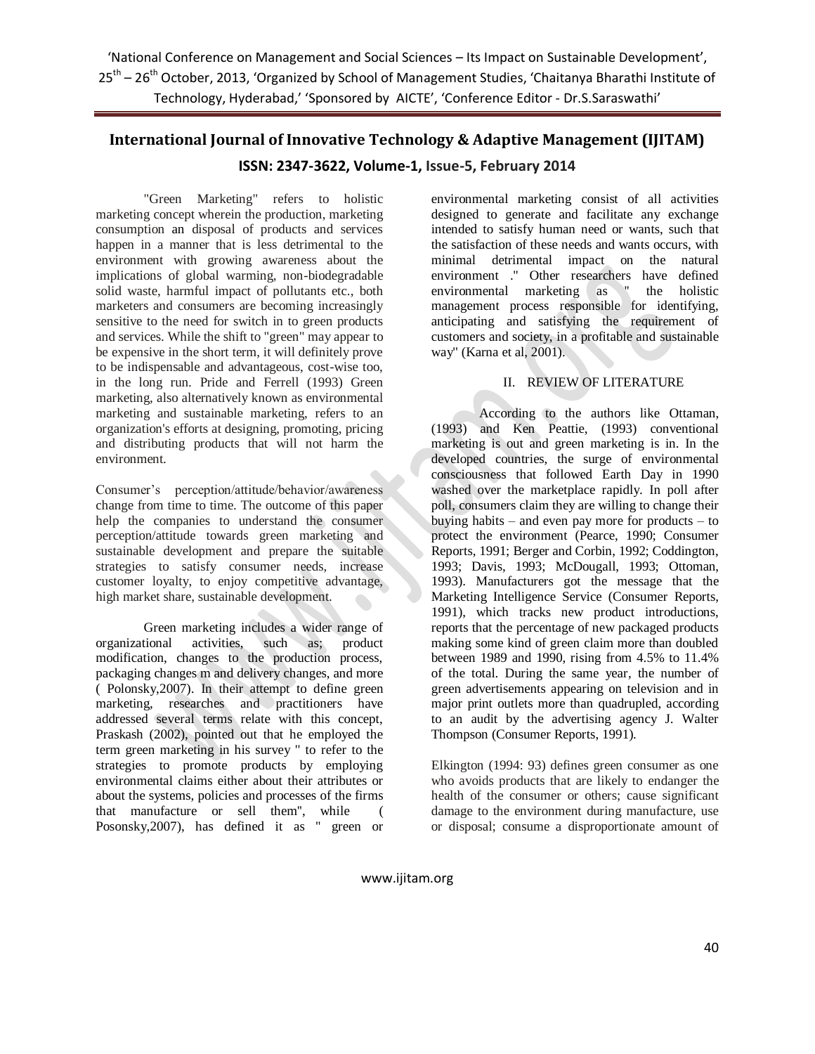'National Conference on Management and Social Sciences – Its Impact on Sustainable Development', 25<sup>th</sup> – 26<sup>th</sup> October, 2013, 'Organized by School of Management Studies, 'Chaitanya Bharathi Institute of Technology, Hyderabad,' 'Sponsored by AICTE', 'Conference Editor - Dr.S.Saraswathi'

# **International Journal of Innovative Technology & Adaptive Management (IJITAM) ISSN: 2347-3622, Volume-1, Issue-5, February 2014**

"Green Marketing" refers to holistic marketing concept wherein the production, marketing consumption an disposal of products and services happen in a manner that is less detrimental to the environment with growing awareness about the implications of global warming, non-biodegradable solid waste, harmful impact of pollutants etc., both marketers and consumers are becoming increasingly sensitive to the need for switch in to green products and services. While the shift to "green" may appear to be expensive in the short term, it will definitely prove to be indispensable and advantageous, cost-wise too, in the long run. Pride and Ferrell (1993) Green marketing, also alternatively known as environmental marketing and sustainable marketing, refers to an organization's efforts at designing, promoting, pricing and distributing products that will not harm the environment.

Consumer's perception/attitude/behavior/awareness change from time to time. The outcome of this paper help the companies to understand the consumer perception/attitude towards green marketing and sustainable development and prepare the suitable strategies to satisfy consumer needs, increase customer loyalty, to enjoy competitive advantage, high market share, sustainable development.

Green marketing includes a wider range of organizational activities, such as; product modification, changes to the production process, packaging changes m and delivery changes, and more ( Polonsky,2007). In their attempt to define green marketing, researches and practitioners have addressed several terms relate with this concept, Praskash (2002), pointed out that he employed the term green marketing in his survey '' to refer to the strategies to promote products by employing environmental claims either about their attributes or about the systems, policies and processes of the firms that manufacture or sell them'', while ( Posonsky,2007), has defined it as '' green or

environmental marketing consist of all activities designed to generate and facilitate any exchange intended to satisfy human need or wants, such that the satisfaction of these needs and wants occurs, with minimal detrimental impact on the natural environment .'' Other researchers have defined environmental marketing as '' the holistic management process responsible for identifying, anticipating and satisfying the requirement of customers and society, in a profitable and sustainable way'' (Karna et al, 2001).

## II. REVIEW OF LITERATURE

According to the authors like Ottaman, (1993) and Ken Peattie, (1993) conventional marketing is out and green marketing is in. In the developed countries, the surge of environmental consciousness that followed Earth Day in 1990 washed over the marketplace rapidly. In poll after poll, consumers claim they are willing to change their buying habits – and even pay more for products – to protect the environment (Pearce, 1990; Consumer Reports, 1991; Berger and Corbin, 1992; Coddington, 1993; Davis, 1993; McDougall, 1993; Ottoman, 1993). Manufacturers got the message that the Marketing Intelligence Service (Consumer Reports, 1991), which tracks new product introductions, reports that the percentage of new packaged products making some kind of green claim more than doubled between 1989 and 1990, rising from 4.5% to 11.4% of the total. During the same year, the number of green advertisements appearing on television and in major print outlets more than quadrupled, according to an audit by the advertising agency J. Walter Thompson (Consumer Reports, 1991).

Elkington (1994: 93) defines green consumer as one who avoids products that are likely to endanger the health of the consumer or others; cause significant damage to the environment during manufacture, use or disposal; consume a disproportionate amount of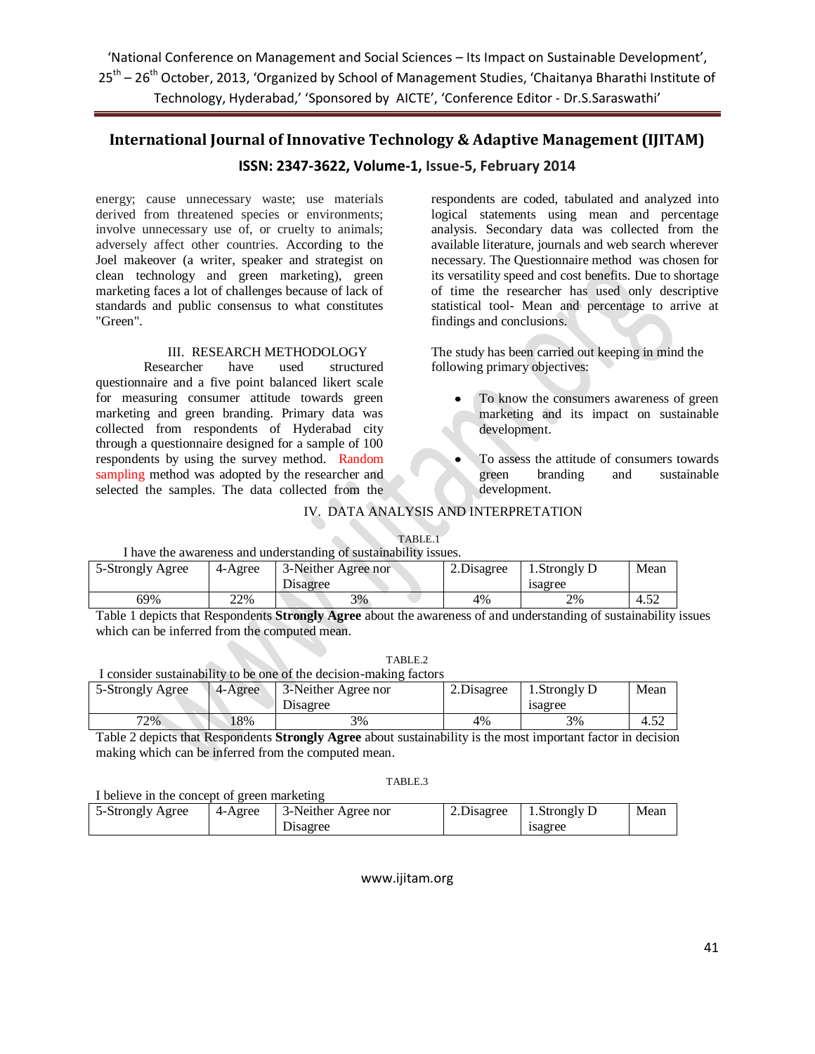'National Conference on Management and Social Sciences – Its Impact on Sustainable Development', 25<sup>th</sup> – 26<sup>th</sup> October, 2013, 'Organized by School of Management Studies, 'Chaitanya Bharathi Institute of Technology, Hyderabad,' 'Sponsored by AICTE', 'Conference Editor - Dr.S.Saraswathi'

# **International Journal of Innovative Technology & Adaptive Management (IJITAM) ISSN: 2347-3622, Volume-1, Issue-5, February 2014**

energy; cause unnecessary waste; use materials derived from threatened species or environments; involve unnecessary use of, or cruelty to animals; adversely affect other countries. According to the Joel makeover (a writer, speaker and strategist on clean technology and green marketing), green marketing faces a lot of challenges because of lack of standards and public consensus to what constitutes "Green".

#### III. RESEARCH METHODOLOGY

Researcher have used structured questionnaire and a five point balanced likert scale for measuring consumer attitude towards green marketing and green branding. Primary data was collected from respondents of Hyderabad city through a questionnaire designed for a sample of 100 respondents by using the survey method. Random sampling method was adopted by the researcher and selected the samples. The data collected from the respondents are coded, tabulated and analyzed into logical statements using mean and percentage analysis. Secondary data was collected from the available literature, journals and web search wherever necessary. The Questionnaire method was chosen for its versatility speed and cost benefits. Due to shortage of time the researcher has used only descriptive statistical tool- Mean and percentage to arrive at findings and conclusions.

The study has been carried out keeping in mind the following primary objectives:

- To know the consumers awareness of green marketing and its impact on sustainable development.
- To assess the attitude of consumers towards green branding and sustainable development.

## IV. DATA ANALYSIS AND INTERPRETATION

TABLE.1

### I have the awareness and understanding of sustainability issues.

| 5-Strongly Agree | 4-Agree | 3-Neither Agree nor<br>Disagree | 2. Disagree | $S$ trongly D<br>1sagree | Mean |
|------------------|---------|---------------------------------|-------------|--------------------------|------|
| 69%              | 22%     | 3%                              | 4%          | 2%                       | 4.52 |

Table 1 depicts that Respondents **Strongly Agree** about the awareness of and understanding of sustainability issues which can be inferred from the computed mean.

TABIE?

|                  | .<br>I consider sustainability to be one of the decision-making factors |            |            |
|------------------|-------------------------------------------------------------------------|------------|------------|
| 5-Strongly Agree | 4-Agree 3-Neither Agree nor                                             | 2.Disagree | $\perp$ 1. |
|                  |                                                                         |            |            |

| 5-Strongly Agree | $4-A$ gree | 3-Neither Agree nor | 2. Disagree | 1. Strongly D | Mean |
|------------------|------------|---------------------|-------------|---------------|------|
|                  |            | Disagree            |             | 1sagree       |      |
| 72%              | 18%        | 3%                  | 4%          | 3%            | 4.52 |

Table 2 depicts that Respondents **Strongly Agree** about sustainability is the most important factor in decision making which can be inferred from the computed mean.

#### TABLE.3

I believe in the concept of green marketing

| 5-Strongly Agree | 4-Agree | 3-Neither Agree nor | 2. Disagree | 1. Strongly D | Mean |
|------------------|---------|---------------------|-------------|---------------|------|
|                  |         | <b>Disagree</b>     |             | 1sagree       |      |
|                  |         |                     |             |               |      |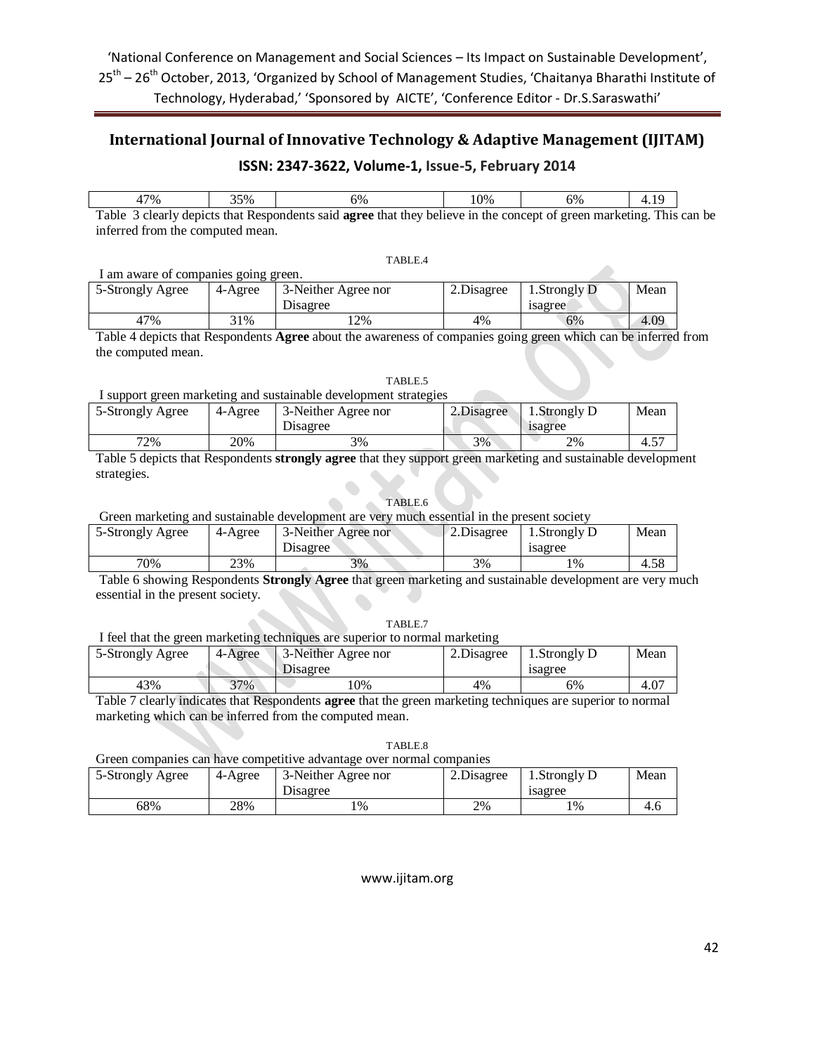| 47%                                                                                                                         | 35% | 6% | 10% | 6% | 4.19 |  |  |
|-----------------------------------------------------------------------------------------------------------------------------|-----|----|-----|----|------|--|--|
| Table 3 clearly depicts that Respondents said <b>agree</b> that they believe in the concept of green marketing. This can be |     |    |     |    |      |  |  |
|                                                                                                                             |     |    |     |    |      |  |  |

inferred from the computed mean.

TABLE.4

| I am aware of companies going green. |         |                     |             |               |      |  |  |
|--------------------------------------|---------|---------------------|-------------|---------------|------|--|--|
| 5-Strongly Agree                     | 4-Agree | 3-Neither Agree nor | 2. Disagree | 1. Strongly D | Mean |  |  |
|                                      |         | <b>Disagree</b>     |             | 1sagree       |      |  |  |
| 47%                                  | 31%     | 2%                  | 4%          | 6%            | 4.09 |  |  |

Table 4 depicts that Respondents **Agree** about the awareness of companies going green which can be inferred from the computed mean.

TABLE.5

# I support green marketing and sustainable development strategies

| 5-Strongly Agree | 4-Agree | 3-Neither Agree nor<br><b>Disagree</b> | 2. Disagree | 1. Strongly D<br>1sagree | Mean                               |
|------------------|---------|----------------------------------------|-------------|--------------------------|------------------------------------|
| 72%              | 20%     | 3%                                     | 3%          | 2%                       | $\overline{a}$<br>4.5 <sub>1</sub> |

Table 5 depicts that Respondents **strongly agree** that they support green marketing and sustainable development strategies.

#### TABLE.6

Green marketing and sustainable development are very much essential in the present society

| 5-Strongly Agree | 4-Agree | 3-Neither Agree nor<br>Disagree | 2.Disagree | 1. Strongly D<br>1sagree | Mean |
|------------------|---------|---------------------------------|------------|--------------------------|------|
| 70%              | 23%     | 3%                              | 3%         | $\frac{10}{6}$           | 4.58 |

Table 6 showing Respondents **Strongly Agree** that green marketing and sustainable development are very much essential in the present society.

#### TABLE.7

I feel that the green marketing techniques are superior to normal marketing

| 5-Strongly Agree | 4-Agree | 3-Neither Agree nor<br>Disagree | 2. Disagree | Strongly D.<br>1sagree | Mean |
|------------------|---------|---------------------------------|-------------|------------------------|------|
| 43%              | $37\%$  | 10%                             | 4%          | 6%                     | 4.07 |

Table 7 clearly indicates that Respondents **agree** that the green marketing techniques are superior to normal marketing which can be inferred from the computed mean.

TABLE.8

Green companies can have competitive advantage over normal companies

| 5-Strongly Agree | 4-Agree | 3-Neither Agree nor<br>Disagree | 2. Disagree | . Strongly D<br>1sagree | Mean |
|------------------|---------|---------------------------------|-------------|-------------------------|------|
| 68%              | 28%     | $\frac{10}{6}$                  | 2%          | $\frac{10}{6}$          | 4.0  |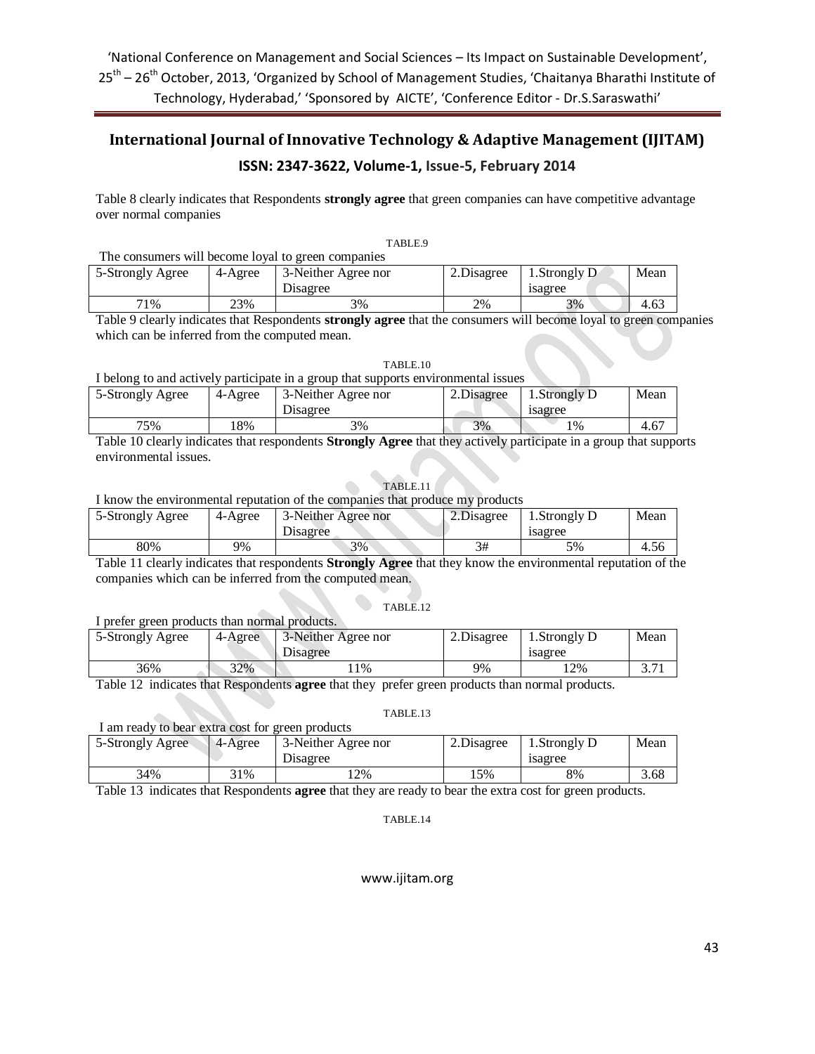Table 8 clearly indicates that Respondents **strongly agree** that green companies can have competitive advantage over normal companies

| The consumers will become loyal to green companies |         |                     |            |                          |      |  |  |
|----------------------------------------------------|---------|---------------------|------------|--------------------------|------|--|--|
| 5-Strongly Agree                                   | 4-Agree | 3-Neither Agree nor | 2.Disagree | 1. Strongly $D^{\prime}$ | Mean |  |  |
|                                                    |         | Disagree            |            | 1sagree                  |      |  |  |
| 71%                                                | 23%     | 3%                  | 2%         | 3%                       | 4.63 |  |  |

Table 9 clearly indicates that Respondents **strongly agree** that the consumers will become loyal to green companies which can be inferred from the computed mean.

| TABLE.10 |  |
|----------|--|
|----------|--|

I belong to and actively participate in a group that supports environmental issues

| 5-Strongly Agree | 4-Agree | 3-Neither Agree nor<br>Disagree | 2. Disagree | . Strongly D<br>1sagree | Mean |
|------------------|---------|---------------------------------|-------------|-------------------------|------|
| 75%              | 18%     | 3%                              | 3%          | 1%                      | 4.67 |

Table 10 clearly indicates that respondents **Strongly Agree** that they actively participate in a group that supports environmental issues.

TABLE.11

I know the environmental reputation of the companies that produce my products

| 5-Strongly Agree | 4-Agree | 3-Neither Agree nor<br><b>Disagree</b> | 2.Disagree | $S$ trongly D<br>1sagree | Mean |
|------------------|---------|----------------------------------------|------------|--------------------------|------|
| 80%              | 9%      | 3%                                     | 3#         | 5%                       | 4.56 |

Table 11 clearly indicates that respondents **Strongly Agree** that they know the environmental reputation of the companies which can be inferred from the computed mean.

#### TABLE.12

|  |  |  | I prefer green products than normal products. |
|--|--|--|-----------------------------------------------|
|  |  |  |                                               |

| 5-Strongly Agree | 4-Agree | 3-Neither Agree nor<br>Disagree | 2. Disagree | 1. Strongly D<br>1sagree | Mean            |
|------------------|---------|---------------------------------|-------------|--------------------------|-----------------|
| 36%              | 32%     | .1%                             | 9%          | 12%                      | $\sim$ $\sim$ 1 |

Table 12 indicates that Respondents **agree** that they prefer green products than normal products.

#### TABLE.13

| I am ready to bear extra cost for green products |         |                     |             |              |      |  |
|--------------------------------------------------|---------|---------------------|-------------|--------------|------|--|
| 5-Strongly Agree                                 | 4-Agree | 3-Neither Agree nor | 2. Disagree | 1.Strongly D | Mean |  |
|                                                  |         | Disagree            |             | 1sagree      |      |  |
| 34%                                              | 31%     | $12\%$              | .5%         | 8%           | 3.68 |  |
|                                                  |         |                     |             |              |      |  |

Table 13 indicates that Respondents **agree** that they are ready to bear the extra cost for green products.

#### TABLE.14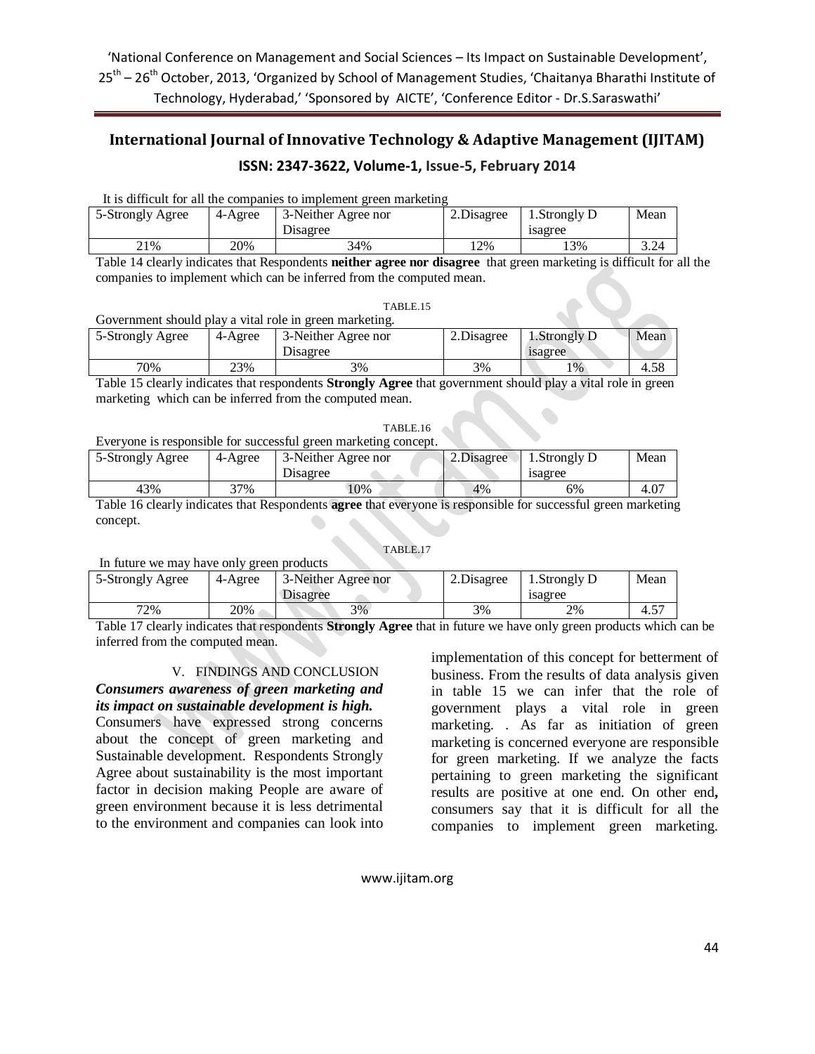|                  | <u>a is unnoun for an alleganisames to imprehent creen maneume</u> |                     |             |             |      |  |  |  |
|------------------|--------------------------------------------------------------------|---------------------|-------------|-------------|------|--|--|--|
| 5-Strongly Agree | 4-Agree                                                            | 3-Neither Agree nor | 2. Disagree | Strongly D. | Mean |  |  |  |
|                  |                                                                    | Disagree            |             | 1sagree     |      |  |  |  |
| 21%              | 20%                                                                | 34%                 | '2%         | 13%         | 3.24 |  |  |  |

It is difficult for all the companies to implement green marketing

Table 14 clearly indicates that Respondents **neither agree nor disagree** that green marketing is difficult for all the companies to implement which can be inferred from the computed mean.

### TABLE.15

Government should play a vital role in green marketing.

| 5-Strongly Agree | 4-Agree | 3-Neither Agree nor<br>Disagree | 2. Disagree | 1. Strongly D<br>1sagree | Mean |
|------------------|---------|---------------------------------|-------------|--------------------------|------|
| 70%              | 23%     | 3%                              | 3%          | $1\%$                    | 4.58 |

Table 15 clearly indicates that respondents **Strongly Agree** that government should play a vital role in green marketing which can be inferred from the computed mean.

#### TABLE.16

### Everyone is responsible for successful green marketing concept.

| 5-Strongly Agree | 4-Agree | 3-Neither Agree nor<br>Disagree | 2.Disagree | l .Strongly D<br>1sagree | Mean |
|------------------|---------|---------------------------------|------------|--------------------------|------|
| 43%              | 37%     | 10%                             | 4%         | 6%                       | 4.U. |

Table 16 clearly indicates that Respondents **agree** that everyone is responsible for successful green marketing concept.

### TABLE.17

In future we may have only green products

| 5-Strongly Agree | 4-Agree | 3-Neither Agree nor<br>Disagree | 2. Disagree | Strongly D.<br>1sagree | Mean               |
|------------------|---------|---------------------------------|-------------|------------------------|--------------------|
| 72%              | 20%     | 3%                              | 3%          | 2%                     | $\epsilon$<br>4.5. |

Table 17 clearly indicates that respondents **Strongly Agree** that in future we have only green products which can be inferred from the computed mean.

### V. FINDINGS AND CONCLUSION

## *Consumers awareness of green marketing and its impact on sustainable development is high.*

Consumers have expressed strong concerns about the concept of green marketing and Sustainable development. Respondents Strongly Agree about sustainability is the most important factor in decision making People are aware of green environment because it is less detrimental to the environment and companies can look into implementation of this concept for betterment of business. From the results of data analysis given in table 15 we can infer that the role of government plays a vital role in green marketing. . As far as initiation of green marketing is concerned everyone are responsible for green marketing. If we analyze the facts pertaining to green marketing the significant results are positive at one end. On other end**,**  consumers say that it is difficult for all the companies to implement green marketing.